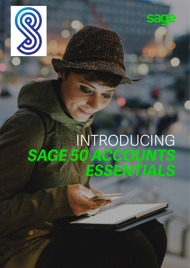



# INTRODUCING<br>SAGE 50 ACCOUNTS *SAGE 50 ACCOUNTS ESSENTIALS*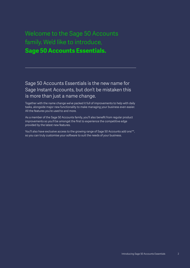### Welcome to the Sage 50 Accounts family. We'd like to introduce, **Sage 50 Accounts Essentials.**

Sage 50 Accounts Essentials is the new name for Sage Instant Accounts, but don't be mistaken this is more than just a name change.

Together with the name change we've packed it full of improvements to help with daily tasks, alongside major new functionality to make managing your business even easier. All the features you're used to and more.

As a member of the Sage 50 Accounts family, you'll also benefit from regular product improvements so you'll be amongst the first to experience the competitive edge provided by the latest new features.

You'll also have exclusive access to the growing range of Sage 50 Accounts add ons\*\*, so you can truly customise your software to suit the needs of your business.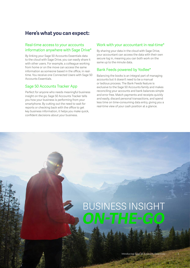#### **Here's what you can expect:**

#### Real-time access to your accounts information anywhere with Sage Drive\*

By linking your Sage 50 Accounts Essentials data to the cloud with Sage Drive, you can easily share it with other users. For example, a colleague working from home or on the move can access the same information as someone based in the office, in realtime. You receive one Connected Users with Sage 50 Accounts Essentials.

#### Sage 50 Accounts Tracker App

Perfect for anyone who needs meaningful business insight on the go, Sage 50 Accounts Tracker tells you how your business is performing from your smartphone. By cutting out the need to wait for reports or checking back with the office to get key business information, it helps you make quick, confident decisions about your business.

#### Work with your accountant in real-time\*

By sharing your data in the cloud with Sage Drive, your accountant can access the data with their own secure log in, meaning you can both work on the same up to the minute data.

#### Bank Feeds powered by Yodlee\*

Balancing the books is an integral part of managing accounts but it doesn't need to be a manual or tedious process. The Bank Feeds feature is exclusive to the Sage 50 Accounts family and makes reconciling your accounts and bank balances simple and error free. Match payments and receipts quickly and easily, discard personal transactions, and spend less time on time-consuming data entry, giving you a real-time view of your cash position at a glance.

## BUSINESS INSIGHT *ON-THE-GO*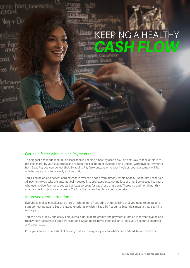

#### Get paid faster with Invoice Payments\*

The biggest challenge most businesses face is keeping a healthy cash flow. The best way to tackle this is to get paid faster by your customers and reduce the likelihood of invoices being unpaid. With Invoice Payments from Sage Pay you can do just that. By adding Pay Now buttons onto your invoices, your customers will be able to pay you instantly, easily and securely.

You'll also be able to accept card payments over the phone from directly within Sage 50 Accounts Essentials. All payments you take are automatically posted into your accounts, saving lots of time. Businesses like yours who use Invoice Payments get paid at least twice as fast as those that don't. There's no additional monthly charge, you'll simply pay a flat fee of 2.5% for the value of each payment you take.

#### Improved error correction

Everybody makes mistakes and there's nothing more frustrating than realising that you need to delete and start something again. But the latest functionality within Sage 50 Accounts Essentials means that is a thing of the past.

You can now quickly and easily edit journals, un-allocate credits and payments from an incorrect invoice and track which users have edited transactions. Meaning it's never been easier to keep your accounts accurate and up-to-date.

Plus, you can feel comfortable knowing that you can quickly review what's been edited, by who and when.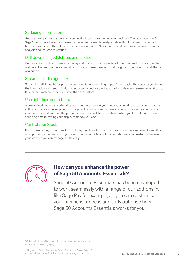#### Surfacing information

Getting the right information when you need it is crucial to running your business. The latest version of Sage 50 Accounts Essentials means it's never been easier to analyse data without the need to source it from various parts of the software or create workarounds. New columns and fields mean more efficient data analysis and reduced frustration.

#### Drill down on aged debtors and creditors

Get more control of who owes you money and who you owe money to, without the need to move in and out of different screens. A more streamlined process makes it easier to get insight into your cash flow at the click of a button.

#### Streamlined dialogue boxes

Streamlined dialogue boxes puts the power of Sage at your fingertips. It's now easier than ever for you to find the information you need quickly, and work on it effectively, without having to learn or remember what to do. It's clearer, simpler and more intuitive than ever before.

#### User interface consistency

A streamlined and organised workspace is important to everyone and that shouldn't stop at your accounts software. The latest developments to Sage 50 Accounts Essentials mean you can customise exactly what you want to see when using the programme and that will be remembered when you log out. So, no more spending time re-setting your display to fit how you work.

#### Control your Stock

If you make money through selling products, then knowing how much stock you have and what it's worth is an important part of managing your cash flow. Sage 50 Accounts Essentials gives you greater control over your stock so you can manage it efficiently.

![](_page_4_Picture_10.jpeg)

#### **How can you enhance the power of Sage 50 Accounts Essentials?**

Sage 50 Accounts Essentials has been developed to work seamlessly with a range of our add-ons\*\*, like Sage Pay for example, so you can customise your business process and truly optimise how Sage 50 Accounts Essentials works for you.

\*Only available with Sage Cover Extra and subscription contracts. Additional charges may apply.